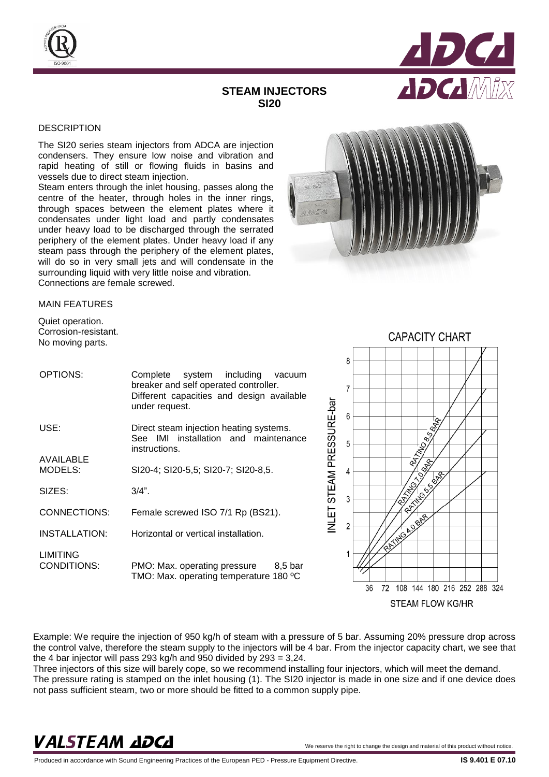



## **STEAM INJECTORS SI20**

## **DESCRIPTION**

The SI20 series steam injectors from ADCA are injection condensers. They ensure low noise and vibration and rapid heating of still or flowing fluids in basins and vessels due to direct steam injection.

Steam enters through the inlet housing, passes along the centre of the heater, through holes in the inner rings, through spaces between the element plates where it condensates under light load and partly condensates under heavy load to be discharged through the serrated periphery of the element plates. Under heavy load if any steam pass through the periphery of the element plates, will do so in very small jets and will condensate in the surrounding liquid with very little noise and vibration. Connections are female screwed.



## MAIN FEATURES

Quiet operation. Corrosion-resistant. No moving parts.

| OPTIONS:                | Complete system including vacuum<br>breaker and self operated controller.<br>Different capacities and design available<br>under request. |  |  |  |  |
|-------------------------|------------------------------------------------------------------------------------------------------------------------------------------|--|--|--|--|
| USE:                    | Direct steam injection heating systems.<br>See IMI installation and maintenance<br>instructions.                                         |  |  |  |  |
| AVAILABLE<br>MODELS:    | SI20-4; SI20-5,5; SI20-7; SI20-8,5.                                                                                                      |  |  |  |  |
| SIZES:                  | $3/4$ ".                                                                                                                                 |  |  |  |  |
| CONNECTIONS:            | Female screwed ISO 7/1 Rp (BS21).                                                                                                        |  |  |  |  |
| <b>INSTALLATION:</b>    | Horizontal or vertical installation.                                                                                                     |  |  |  |  |
| LIMITING<br>CONDITIONS: | PMO: Max. operating pressure<br>8,5 bar<br>TMO: Max. operating temperature 180 °C                                                        |  |  |  |  |



Example: We require the injection of 950 kg/h of steam with a pressure of 5 bar. Assuming 20% pressure drop across the control valve, therefore the steam supply to the injectors will be 4 bar. From the injector capacity chart, we see that the 4 bar injector will pass 293 kg/h and 950 divided by 293 = 3,24.

Three injectors of this size will barely cope, so we recommend installing four injectors, which will meet the demand. The pressure rating is stamped on the inlet housing (1). The SI20 injector is made in one size and if one device does not pass sufficient steam, two or more should be fitted to a common supply pipe.